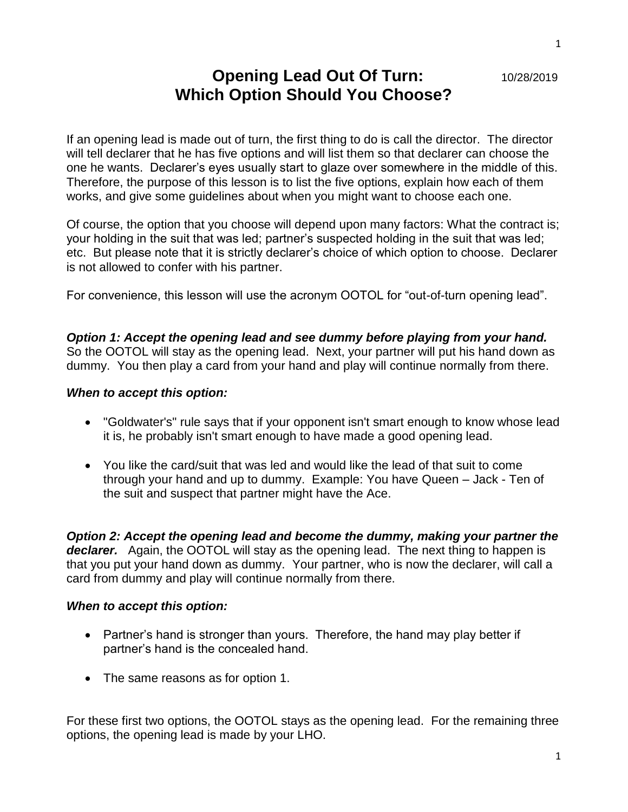# **Opening Lead Out Of Turn:** 10/28/2019 **Which Option Should You Choose?**

If an opening lead is made out of turn, the first thing to do is call the director. The director will tell declarer that he has five options and will list them so that declarer can choose the one he wants. Declarer's eyes usually start to glaze over somewhere in the middle of this. Therefore, the purpose of this lesson is to list the five options, explain how each of them works, and give some guidelines about when you might want to choose each one.

Of course, the option that you choose will depend upon many factors: What the contract is; your holding in the suit that was led; partner's suspected holding in the suit that was led; etc. But please note that it is strictly declarer's choice of which option to choose. Declarer is not allowed to confer with his partner.

For convenience, this lesson will use the acronym OOTOL for "out-of-turn opening lead".

*Option 1: Accept the opening lead and see dummy before playing from your hand.* So the OOTOL will stay as the opening lead. Next, your partner will put his hand down as dummy. You then play a card from your hand and play will continue normally from there.

#### *When to accept this option:*

- "Goldwater's" rule says that if your opponent isn't smart enough to know whose lead it is, he probably isn't smart enough to have made a good opening lead.
- You like the card/suit that was led and would like the lead of that suit to come through your hand and up to dummy. Example: You have Queen – Jack - Ten of the suit and suspect that partner might have the Ace.

*Option 2: Accept the opening lead and become the dummy, making your partner the declarer.* Again, the OOTOL will stay as the opening lead. The next thing to happen is that you put your hand down as dummy. Your partner, who is now the declarer, will call a card from dummy and play will continue normally from there.

#### *When to accept this option:*

- Partner's hand is stronger than yours. Therefore, the hand may play better if partner's hand is the concealed hand.
- The same reasons as for option 1.

For these first two options, the OOTOL stays as the opening lead. For the remaining three options, the opening lead is made by your LHO.